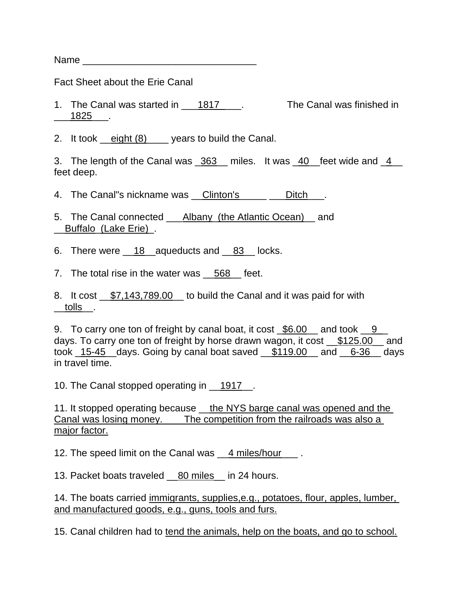Name \_\_\_\_\_\_\_\_\_\_\_\_\_\_\_\_\_\_\_\_\_\_\_\_\_\_\_\_\_\_\_\_

Fact Sheet about the Erie Canal

1. The Canal was started in 1817 \_\_\_\_. The Canal was finished in \_\_\_1825\_\_\_.

2. It took <u>eight (8)</u> ears to build the Canal.

3. The length of the Canal was \_363\_ miles. It was \_40\_feet wide and \_4\_\_ feet deep.

4. The Canal"s nickname was Clinton's The Oitch .

5. The Canal connected \_\_\_Albany\_(the Atlantic Ocean)\_\_ and \_\_Buffalo\_(Lake Erie)\_.

6. There were \_\_18\_\_aqueducts and \_\_83\_\_ locks.

7. The total rise in the water was 568 feet.

8. It cost \_\_\$7,143,789.00\_\_ to build the Canal and it was paid for with \_\_tolls\_\_.

9. To carry one ton of freight by canal boat, it cost  $\frac{6.00}{100}$  and took  $\frac{9}{100}$ days. To carry one ton of freight by horse drawn wagon, it cost \_\_\$125.00\_\_ and took 15-45 days. Going by canal boat saved  $$119.00$  and 6-36 days in travel time.

10. The Canal stopped operating in 1917.

11. It stopped operating because \_the NYS barge canal was opened and the Canal was losing money. The competition from the railroads was also a major factor.

12. The speed limit on the Canal was \_\_4 miles/hour \_\_\_ .

13. Packet boats traveled 80 miles in 24 hours.

14. The boats carried immigrants, supplies, e.g., potatoes, flour, apples, lumber, and manufactured goods, e.g., guns, tools and furs.

15. Canal children had to tend the animals, help on the boats, and go to school.